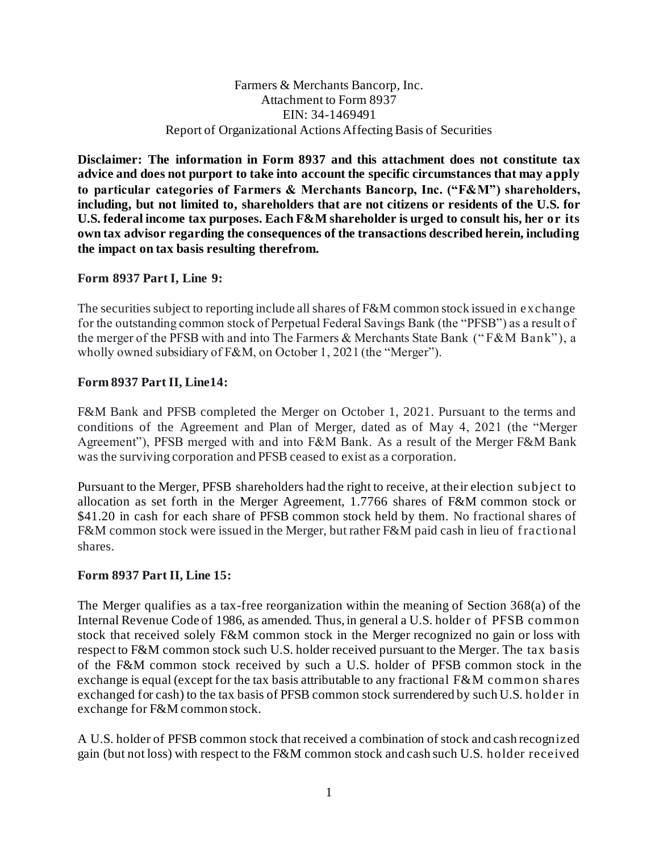### Farmers & Merchants Bancorp, Inc. Attachment to Form 8937 EIN: 34-1469491 Report of Organizational Actions Affecting Basis of Securities

**Disclaimer: The information in Form 8937 and this attachment does not constitute tax advice and does not purport to take into account the specific circumstances that may apply to particular categories of Farmers & Merchants Bancorp, Inc. ("F&M") shareholders, including, but not limited to, shareholders that are not citizens or residents of the U.S. for U.S. federal income tax purposes. Each F&M shareholder is urged to consult his, her or its own tax advisor regarding the consequences of the transactions described herein, including the impact on tax basis resulting therefrom.**

# **Form 8937 Part I, Line 9:**

The securities subject to reporting include all shares of F&M common stock issued in exchange for the outstanding common stock of Perpetual Federal Savings Bank (the "PFSB") as a result of the merger of the PFSB with and into The Farmers & Merchants State Bank (" F&M Bank"), a wholly owned subsidiary of F&M, on October 1, 2021 (the "Merger").

# **Form 8937 Part II, Line14:**

F&M Bank and PFSB completed the Merger on October 1, 2021. Pursuant to the terms and conditions of the Agreement and Plan of Merger, dated as of May 4, 2021 (the "Merger Agreement"), PFSB merged with and into F&M Bank. As a result of the Merger F&M Bank was the surviving corporation and PFSB ceased to exist as a corporation.

Pursuant to the Merger, PFSB shareholders had the right to receive, at their election subject to allocation as set forth in the Merger Agreement, 1.7766 shares of F&M common stock or \$41.20 in cash for each share of PFSB common stock held by them. No fractional shares of F&M common stock were issued in the Merger, but rather F&M paid cash in lieu of fractional shares.

### **Form 8937 Part II, Line 15:**

The Merger qualifies as a tax-free reorganization within the meaning of Section 368(a) of the Internal Revenue Code of 1986, as amended. Thus, in general a U.S. holder of PFSB common stock that received solely F&M common stock in the Merger recognized no gain or loss with respect to F&M common stock such U.S. holder received pursuant to the Merger. The tax basis of the F&M common stock received by such a U.S. holder of PFSB common stock in the exchange is equal (except for the tax basis attributable to any fractional F&M common shares exchanged for cash) to the tax basis of PFSB common stock surrendered by such U.S. holder in exchange for F&M common stock.

A U.S. holder of PFSB common stock that received a combination of stock and cash recognized gain (but not loss) with respect to the F&M common stock and cash such U.S. holder received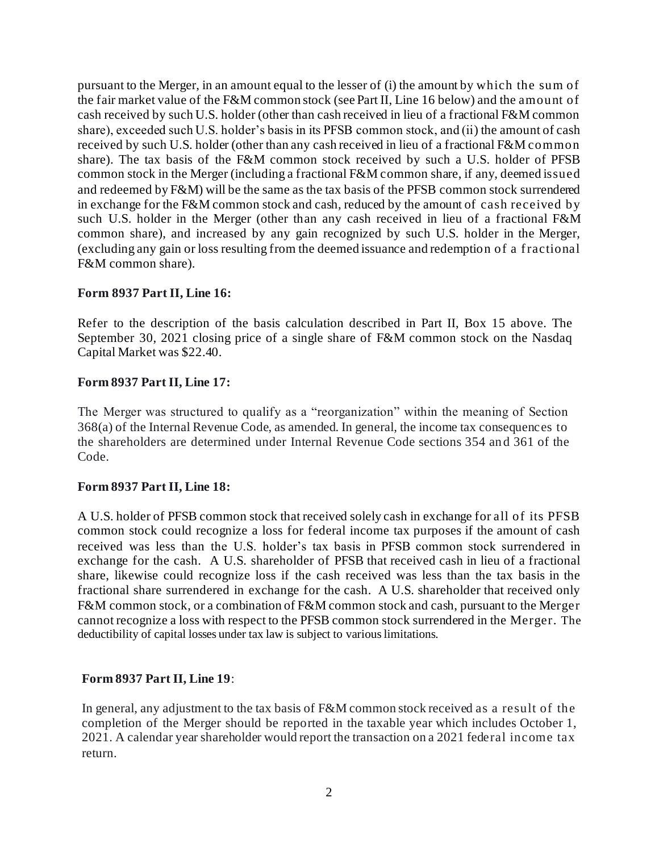pursuant to the Merger, in an amount equal to the lesser of (i) the amount by which the sum of the fair market value of the F&M common stock (see Part II, Line 16 below) and the amount of cash received by such U.S. holder (other than cash received in lieu of a fractional F&M common share), exceeded such U.S. holder's basis in its PFSB common stock, and (ii) the amount of cash received by such U.S. holder (other than any cash received in lieu of a fractional F&M common share). The tax basis of the F&M common stock received by such a U.S. holder of PFSB common stock in the Merger (including a fractional F&M common share, if any, deemed issued and redeemed by F&M) will be the same as the tax basis of the PFSB common stock surrendered in exchange for the F&M common stock and cash, reduced by the amount of cash received by such U.S. holder in the Merger (other than any cash received in lieu of a fractional F&M common share), and increased by any gain recognized by such U.S. holder in the Merger, (excluding any gain or loss resulting from the deemed issuance and redemption of a f ractional F&M common share).

# **Form 8937 Part II, Line 16:**

Refer to the description of the basis calculation described in Part II, Box 15 above. The September 30, 2021 closing price of a single share of F&M common stock on the Nasdaq Capital Market was \$22.40.

# **Form 8937 Part II, Line 17:**

The Merger was structured to qualify as a "reorganization" within the meaning of Section 368(a) of the Internal Revenue Code, as amended. In general, the income tax consequences to the shareholders are determined under Internal Revenue Code sections 354 an d 361 of the Code.

### **Form 8937 Part II, Line 18:**

A U.S. holder of PFSB common stock that received solely cash in exchange for all of its PFSB common stock could recognize a loss for federal income tax purposes if the amount of cash received was less than the U.S. holder's tax basis in PFSB common stock surrendered in exchange for the cash. A U.S. shareholder of PFSB that received cash in lieu of a fractional share, likewise could recognize loss if the cash received was less than the tax basis in the fractional share surrendered in exchange for the cash. A U.S. shareholder that received only F&M common stock, or a combination of F&M common stock and cash, pursuant to the Merger cannot recognize a loss with respect to the PFSB common stock surrendered in the Merger. The deductibility of capital losses under tax law is subject to various limitations.

### **Form 8937 Part II, Line 19**:

In general, any adjustment to the tax basis of F&M common stock received as a result of the completion of the Merger should be reported in the taxable year which includes October 1, 2021. A calendar year shareholder would report the transaction on a 2021 federal income tax return.